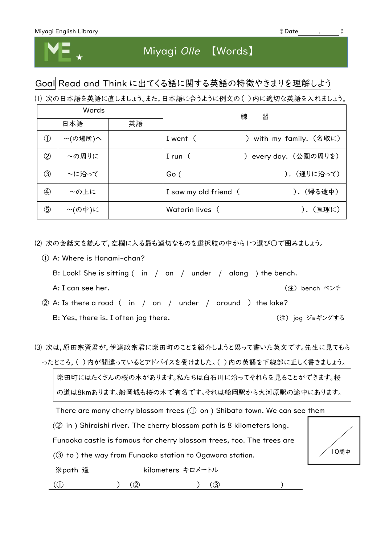

# Miyagi Olle 【Words】

### Goal Read and Think に出てくる語に関する英語の特徴やきまりを理解しよう

⑴ 次の日本語を英語に直しましょう。また,日本語に合うように例文の( )内に適切な英語を入れましょう。

| Words                                   |               |    | 練<br>習                |                       |
|-----------------------------------------|---------------|----|-----------------------|-----------------------|
| 日本語                                     |               | 英語 |                       |                       |
| $\left( \left  {}\right\rangle \right)$ | $\sim$ (の場所)へ |    | I went (              | with my family. (名取に) |
| $^\copyright$                           | ~の周りに         |    | I run $($             | every day. (公園の周りを)   |
| ③                                       | ~に沿って         |    | Go (                  | ). (通りに沿って)           |
| $\circledA$                             | ~の上に          |    | I saw my old friend ( | ). (帰る途中)             |
| ⑤                                       | $\sim$ (の中)に  |    | Watarin lives (       | ).(亘理に)               |

⑵ 次の会話文を読んで,空欄に入る最も適切なものを選択肢の中から1つ選び○で囲みましょう。

- ① A: Where is Hanami-chan?
	- B: Look! She is sitting ( in / on / under / along ) the bench.
	-

A: I can see her. (注) bench ベンチ

- ② A: Is there a road ( in / on / under / around ) the lake? B: Yes, there is. I often jog there. (注) jog ジョギングする
- ⑶ 次は,原田宗資君が,伊達政宗君に柴田町のことを紹介しようと思って書いた英文です。先生に見てもら ったところ,( )内が間違っているとアドバイスを受けました。( )内の英語を下線部に正しく書きましょう。

柴田町にはたくさんの桜の木があります。私たちは白石川に沿ってそれらを見ることができます。桜 の道は8kmあります。船岡城も桜の木で有名です。それは船岡駅から大河原駅の途中にあります。

There are many cherry blossom trees  $(0)$  on ) Shibata town. We can see them

(② in ) Shiroishi river. The cherry blossom path is 8 kilometers long.

Funaoka castle is famous for cherry blossom trees, too. The trees are



(③ to ) the way from Funaoka station to Ogawara station.

※path 道 <br>
kilometers キロメートル

 $(0)$  (2) (3) (3)